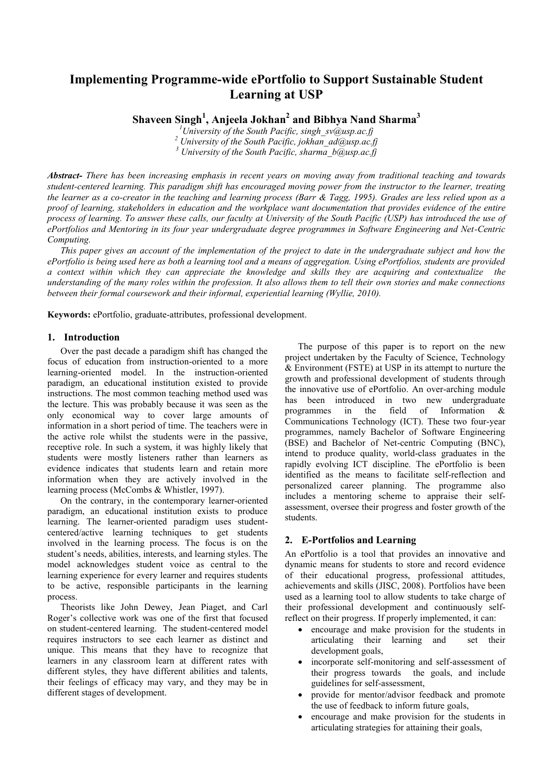# **Implementing Programme-wide ePortfolio to Support Sustainable Student Learning at USP**

**Shaveen Singh<sup>1</sup> , Anjeela Jokhan<sup>2</sup> and Bibhya Nand Sharma<sup>3</sup>**

*<sup>1</sup>University of the South Pacific, singh\_sv@usp.ac.fj <sup>2</sup> University of the South Pacific, jokhan\_ad@usp.ac.fj <sup>3</sup> University of the South Pacific, sharma\_b@usp.ac.fj*

*Abstract- There has been increasing emphasis in recent years on moving away from traditional teaching and towards student-centered learning. This paradigm shift has encouraged moving power from the instructor to the learner, treating the learner as a co-creator in the teaching and learning process (Barr & Tagg, 1995). Grades are less relied upon as a proof of learning, stakeholders in education and the workplace want documentation that provides evidence of the entire process of learning. To answer these calls, our faculty at University of the South Pacific (USP) has introduced the use of ePortfolios and Mentoring in its four year undergraduate degree programmes in Software Engineering and Net-Centric Computing.*

*This paper gives an account of the implementation of the project to date in the undergraduate subject and how the ePortfolio is being used here as both a learning tool and a means of aggregation. Using ePortfolios, students are provided a context within which they can appreciate the knowledge and skills they are acquiring and contextualize the understanding of the many roles within the profession. It also allows them to tell their own stories and make connections between their formal coursework and their informal, experiential learning (Wyllie, 2010).*

**Keywords:** ePortfolio, graduate-attributes, professional development.

### **1. Introduction**

Over the past decade a paradigm shift has changed the focus of education from instruction-oriented to a more learning-oriented model. In the instruction-oriented paradigm, an educational institution existed to provide instructions. The most common teaching method used was the lecture. This was probably because it was seen as the only economical way to cover large amounts of information in a short period of time. The teachers were in the active role whilst the students were in the passive, receptive role. In such a system, it was highly likely that students were mostly listeners rather than learners as evidence indicates that students learn and retain more information when they are actively involved in the learning process (McCombs & Whistler, 1997).

On the contrary, in the contemporary learner-oriented paradigm, an educational institution exists to produce learning. The learner-oriented paradigm uses studentcentered/active learning techniques to get students involved in the learning process. The focus is on the student's needs, abilities, interests, and learning styles. The model acknowledges student voice as central to the learning experience for every learner and requires students to be active, responsible participants in the learning process.

Theorists like John Dewey, Jean Piaget, and Carl Roger's collective work was one of the first that focused on student-centered learning. The student-centered model requires instructors to see each learner as distinct and unique. This means that they have to recognize that learners in any classroom learn at different rates with different styles, they have different abilities and talents, their feelings of efficacy may vary, and they may be in different stages of development.

The purpose of this paper is to report on the new project undertaken by the Faculty of Science, Technology & Environment (FSTE) at USP in its attempt to nurture the growth and professional development of students through the innovative use of ePortfolio. An over-arching module has been introduced in two new undergraduate programmes in the field of Information & Communications Technology (ICT). These two four-year programmes, namely Bachelor of Software Engineering (BSE) and Bachelor of Net-centric Computing (BNC), intend to produce quality, world-class graduates in the rapidly evolving ICT discipline. The ePortfolio is been identified as the means to facilitate self-reflection and personalized career planning. The programme also includes a mentoring scheme to appraise their selfassessment, oversee their progress and foster growth of the students.

## **2. E-Portfolios and Learning**

An ePortfolio is a tool that provides an innovative and dynamic means for students to store and record evidence of their educational progress, professional attitudes, achievements and skills (JISC, 2008). Portfolios have been used as a learning tool to allow students to take charge of their professional development and continuously selfreflect on their progress. If properly implemented, it can:

- encourage and make provision for the students in articulating their learning and set their development goals,
- incorporate self-monitoring and self-assessment of their progress towards the goals, and include guidelines for self-assessment,
- provide for mentor/advisor feedback and promote the use of feedback to inform future goals,
- encourage and make provision for the students in articulating strategies for attaining their goals,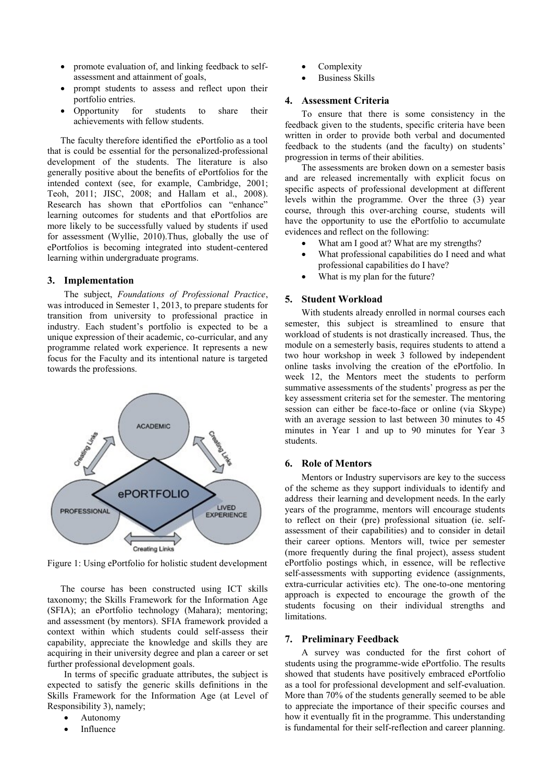- promote evaluation of, and linking feedback to selfassessment and attainment of goals,
- prompt students to assess and reflect upon their portfolio entries.
- Opportunity for students to share their achievements with fellow students.

The faculty therefore identified the ePortfolio as a tool that is could be essential for the personalized-professional development of the students. The literature is also generally positive about the benefits of ePortfolios for the intended context (see, for example, Cambridge, 2001; Teoh, 2011; JISC, 2008; and Hallam et al., 2008). Research has shown that ePortfolios can "enhance" learning outcomes for students and that ePortfolios are more likely to be successfully valued by students if used for assessment (Wyllie, 2010).Thus, globally the use of ePortfolios is becoming integrated into student-centered learning within undergraduate programs.

#### **3. Implementation**

The subject, *Foundations of Professional Practice*, was introduced in Semester 1, 2013, to prepare students for transition from university to professional practice in industry. Each student's portfolio is expected to be a unique expression of their academic, co-curricular, and any programme related work experience. It represents a new focus for the Faculty and its intentional nature is targeted towards the professions.



Figure 1: Using ePortfolio for holistic student development

The course has been constructed using ICT skills taxonomy; the Skills Framework for the Information Age (SFIA); an ePortfolio technology (Mahara); mentoring; and assessment (by mentors). SFIA framework provided a context within which students could self-assess their capability, appreciate the knowledge and skills they are acquiring in their university degree and plan a career or set further professional development goals.

In terms of specific graduate attributes, the subject is expected to satisfy the generic skills definitions in the Skills Framework for the Information Age (at Level of Responsibility 3), namely;

- Autonomy
- Influence
- Complexity
- Business Skills

## **4. Assessment Criteria**

To ensure that there is some consistency in the feedback given to the students, specific criteria have been written in order to provide both verbal and documented feedback to the students (and the faculty) on students' progression in terms of their abilities.

The assessments are broken down on a semester basis and are released incrementally with explicit focus on specific aspects of professional development at different levels within the programme. Over the three (3) year course, through this over-arching course, students will have the opportunity to use the ePortfolio to accumulate evidences and reflect on the following:

- What am I good at? What are my strengths?
- What professional capabilities do I need and what professional capabilities do I have?
- What is my plan for the future?

## **5. Student Workload**

With students already enrolled in normal courses each semester, this subject is streamlined to ensure that workload of students is not drastically increased. Thus, the module on a semesterly basis, requires students to attend a two hour workshop in week 3 followed by independent online tasks involving the creation of the ePortfolio. In week 12, the Mentors meet the students to perform summative assessments of the students' progress as per the key assessment criteria set for the semester. The mentoring session can either be face-to-face or online (via Skype) with an average session to last between 30 minutes to 45 minutes in Year 1 and up to 90 minutes for Year 3 students.

## **6. Role of Mentors**

Mentors or Industry supervisors are key to the success of the scheme as they support individuals to identify and address their learning and development needs. In the early years of the programme, mentors will encourage students to reflect on their (pre) professional situation (ie. selfassessment of their capabilities) and to consider in detail their career options. Mentors will, twice per semester (more frequently during the final project), assess student ePortfolio postings which, in essence, will be reflective self-assessments with supporting evidence (assignments, extra-curricular activities etc). The one-to-one mentoring approach is expected to encourage the growth of the students focusing on their individual strengths and limitations.

#### **7. Preliminary Feedback**

A survey was conducted for the first cohort of students using the programme-wide ePortfolio. The results showed that students have positively embraced ePortfolio as a tool for professional development and self-evaluation. More than 70% of the students generally seemed to be able to appreciate the importance of their specific courses and how it eventually fit in the programme. This understanding is fundamental for their self-reflection and career planning.